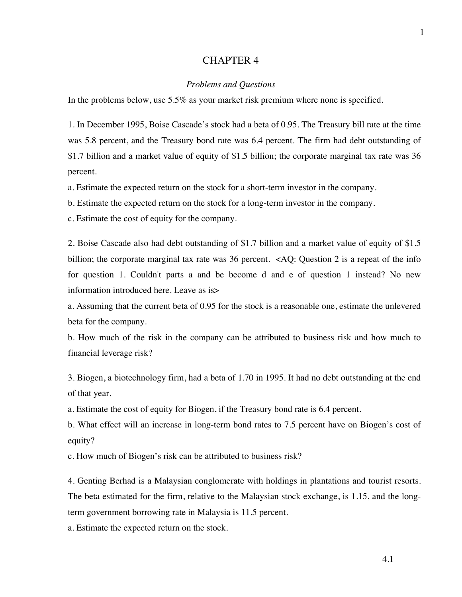## CHAPTER 4

## *Problems and Questions*

In the problems below, use 5.5% as your market risk premium where none is specified.

1. In December 1995, Boise Cascade's stock had a beta of 0.95. The Treasury bill rate at the time was 5.8 percent, and the Treasury bond rate was 6.4 percent. The firm had debt outstanding of \$1.7 billion and a market value of equity of \$1.5 billion; the corporate marginal tax rate was 36 percent.

a. Estimate the expected return on the stock for a short-term investor in the company.

b. Estimate the expected return on the stock for a long-term investor in the company.

c. Estimate the cost of equity for the company.

2. Boise Cascade also had debt outstanding of \$1.7 billion and a market value of equity of \$1.5 billion; the corporate marginal tax rate was 36 percent. <AQ: Question 2 is a repeat of the info for question 1. Couldn't parts a and be become d and e of question 1 instead? No new information introduced here. Leave as is>

a. Assuming that the current beta of 0.95 for the stock is a reasonable one, estimate the unlevered beta for the company.

b. How much of the risk in the company can be attributed to business risk and how much to financial leverage risk?

3. Biogen, a biotechnology firm, had a beta of 1.70 in 1995. It had no debt outstanding at the end of that year.

a. Estimate the cost of equity for Biogen, if the Treasury bond rate is 6.4 percent.

b. What effect will an increase in long-term bond rates to 7.5 percent have on Biogen's cost of equity?

c. How much of Biogen's risk can be attributed to business risk?

4. Genting Berhad is a Malaysian conglomerate with holdings in plantations and tourist resorts. The beta estimated for the firm, relative to the Malaysian stock exchange, is 1.15, and the longterm government borrowing rate in Malaysia is 11.5 percent.

a. Estimate the expected return on the stock.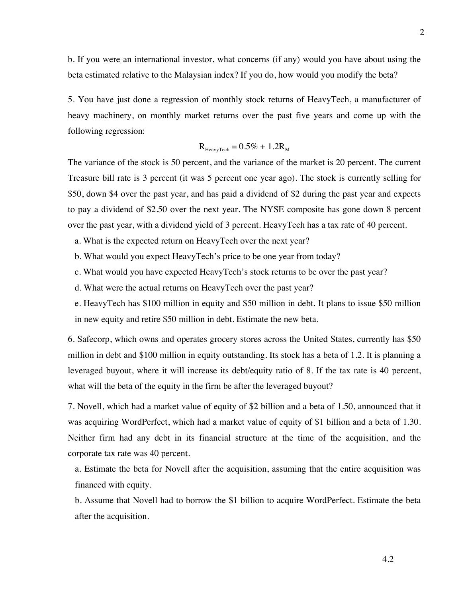b. If you were an international investor, what concerns (if any) would you have about using the beta estimated relative to the Malaysian index? If you do, how would you modify the beta?

5. You have just done a regression of monthly stock returns of HeavyTech, a manufacturer of heavy machinery, on monthly market returns over the past five years and come up with the following regression:

$$
R_{\text{HeavyTechn}} = 0.5\% + 1.2R_M
$$

The variance of the stock is 50 percent, and the variance of the market is 20 percent. The current Treasure bill rate is 3 percent (it was 5 percent one year ago). The stock is currently selling for \$50, down \$4 over the past year, and has paid a dividend of \$2 during the past year and expects to pay a dividend of \$2.50 over the next year. The NYSE composite has gone down 8 percent over the past year, with a dividend yield of 3 percent. HeavyTech has a tax rate of 40 percent.

a. What is the expected return on HeavyTech over the next year?

b. What would you expect HeavyTech's price to be one year from today?

c. What would you have expected HeavyTech's stock returns to be over the past year?

d. What were the actual returns on HeavyTech over the past year?

e. HeavyTech has \$100 million in equity and \$50 million in debt. It plans to issue \$50 million in new equity and retire \$50 million in debt. Estimate the new beta.

6. Safecorp, which owns and operates grocery stores across the United States, currently has \$50 million in debt and \$100 million in equity outstanding. Its stock has a beta of 1.2. It is planning a leveraged buyout, where it will increase its debt/equity ratio of 8. If the tax rate is 40 percent, what will the beta of the equity in the firm be after the leveraged buyout?

7. Novell, which had a market value of equity of \$2 billion and a beta of 1.50, announced that it was acquiring WordPerfect, which had a market value of equity of \$1 billion and a beta of 1.30. Neither firm had any debt in its financial structure at the time of the acquisition, and the corporate tax rate was 40 percent.

a. Estimate the beta for Novell after the acquisition, assuming that the entire acquisition was financed with equity.

b. Assume that Novell had to borrow the \$1 billion to acquire WordPerfect. Estimate the beta after the acquisition.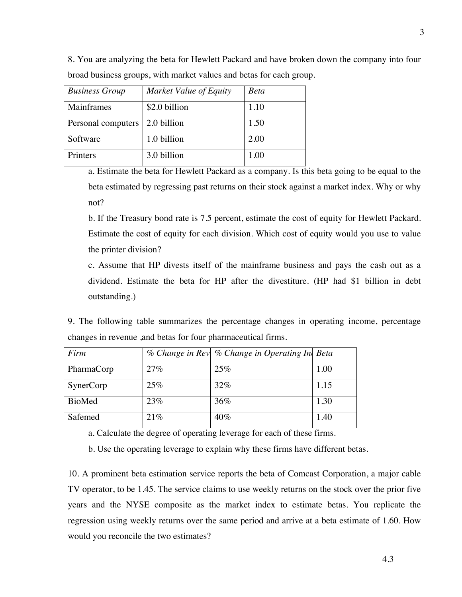| <b>Business Group</b> | Market Value of Equity | <b>Beta</b> |
|-----------------------|------------------------|-------------|
| Mainframes            | \$2.0 billion          | 1.10        |
| Personal computers    | 2.0 billion            | 1.50        |
| Software              | 1.0 billion            | 2.00        |
| Printers              | 3.0 billion            | 1.00        |

8. You are analyzing the beta for Hewlett Packard and have broken down the company into four broad business groups, with market values and betas for each group.

a. Estimate the beta for Hewlett Packard as a company. Is this beta going to be equal to the beta estimated by regressing past returns on their stock against a market index. Why or why not?

b. If the Treasury bond rate is 7.5 percent, estimate the cost of equity for Hewlett Packard. Estimate the cost of equity for each division. Which cost of equity would you use to value the printer division?

c. Assume that HP divests itself of the mainframe business and pays the cash out as a dividend. Estimate the beta for HP after the divestiture. (HP had \$1 billion in debt outstanding.)

9. The following table summarizes the percentage changes in operating income, percentage changes in revenue ,and betas for four pharmaceutical firms.

| Firm             |     | % Change in Rev  % Change in Operating In Beta |      |
|------------------|-----|------------------------------------------------|------|
| PharmaCorp       | 27% | 25%                                            | 1.00 |
| <b>SynerCorp</b> | 25% | 32%                                            | 1.15 |
| <b>BioMed</b>    | 23% | 36%                                            | 1.30 |
| Safemed          | 21% | 40%                                            | 1.40 |

a. Calculate the degree of operating leverage for each of these firms.

b. Use the operating leverage to explain why these firms have different betas.

10. A prominent beta estimation service reports the beta of Comcast Corporation, a major cable TV operator, to be 1.45. The service claims to use weekly returns on the stock over the prior five years and the NYSE composite as the market index to estimate betas. You replicate the regression using weekly returns over the same period and arrive at a beta estimate of 1.60. How would you reconcile the two estimates?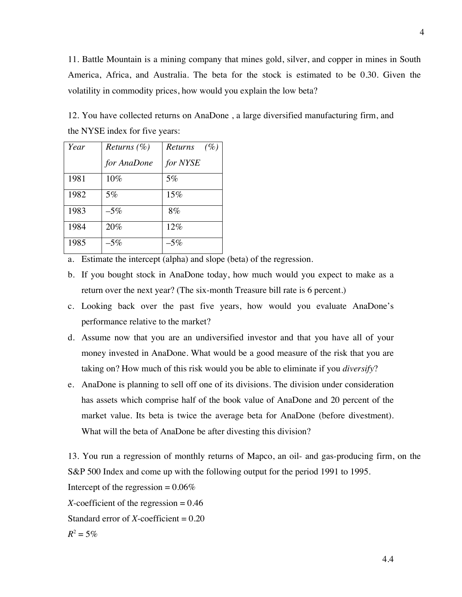11. Battle Mountain is a mining company that mines gold, silver, and copper in mines in South America, Africa, and Australia. The beta for the stock is estimated to be 0.30. Given the volatility in commodity prices, how would you explain the low beta?

12. You have collected returns on AnaDone , a large diversified manufacturing firm, and the NYSE index for five years:

| Year | <i>Returns</i> $(\% )$ | Returns<br>(%) |
|------|------------------------|----------------|
|      | for AnaDone            | for NYSE       |
| 1981 | 10%                    | 5%             |
| 1982 | 5%                     | 15%            |
| 1983 | $-5\%$                 | 8%             |
| 1984 | 20%                    | 12%            |
| 1985 | $-5\%$                 | $-5\%$         |

 $R^2 = 5\%$ 

a. Estimate the intercept (alpha) and slope (beta) of the regression.

- b. If you bought stock in AnaDone today, how much would you expect to make as a return over the next year? (The six-month Treasure bill rate is 6 percent.)
- c. Looking back over the past five years, how would you evaluate AnaDone's performance relative to the market?
- d. Assume now that you are an undiversified investor and that you have all of your money invested in AnaDone. What would be a good measure of the risk that you are taking on? How much of this risk would you be able to eliminate if you *diversify*?
- e. AnaDone is planning to sell off one of its divisions. The division under consideration has assets which comprise half of the book value of AnaDone and 20 percent of the market value. Its beta is twice the average beta for AnaDone (before divestment). What will the beta of AnaDone be after divesting this division?

13. You run a regression of monthly returns of Mapco, an oil- and gas-producing firm, on the S&P 500 Index and come up with the following output for the period 1991 to 1995. Intercept of the regression  $= 0.06\%$ *X*-coefficient of the regression  $= 0.46$ Standard error of  $X$ -coefficient =  $0.20$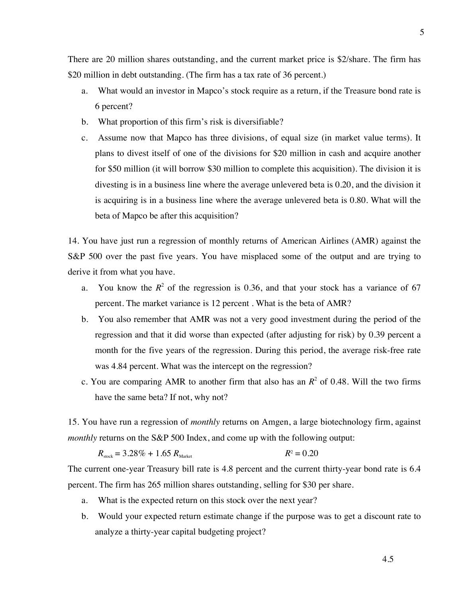There are 20 million shares outstanding, and the current market price is \$2/share. The firm has \$20 million in debt outstanding. (The firm has a tax rate of 36 percent.)

- a. What would an investor in Mapco's stock require as a return, if the Treasure bond rate is 6 percent?
- b. What proportion of this firm's risk is diversifiable?
- c. Assume now that Mapco has three divisions, of equal size (in market value terms). It plans to divest itself of one of the divisions for \$20 million in cash and acquire another for \$50 million (it will borrow \$30 million to complete this acquisition). The division it is divesting is in a business line where the average unlevered beta is 0.20, and the division it is acquiring is in a business line where the average unlevered beta is 0.80. What will the beta of Mapco be after this acquisition?

14. You have just run a regression of monthly returns of American Airlines (AMR) against the S&P 500 over the past five years. You have misplaced some of the output and are trying to derive it from what you have.

- a. You know the  $R^2$  of the regression is 0.36, and that your stock has a variance of 67 percent. The market variance is 12 percent . What is the beta of AMR?
- b. You also remember that AMR was not a very good investment during the period of the regression and that it did worse than expected (after adjusting for risk) by 0.39 percent a month for the five years of the regression. During this period, the average risk-free rate was 4.84 percent. What was the intercept on the regression?
- c. You are comparing AMR to another firm that also has an  $R^2$  of 0.48. Will the two firms have the same beta? If not, why not?

15. You have run a regression of *monthly* returns on Amgen, a large biotechnology firm, against *monthly* returns on the S&P 500 Index, and come up with the following output:

$$
R_{\text{stock}} = 3.28\% + 1.65 R_{\text{Market}} \hspace{1.5cm} R^2 = 0.20
$$

The current one-year Treasury bill rate is 4.8 percent and the current thirty-year bond rate is 6.4 percent. The firm has 265 million shares outstanding, selling for \$30 per share.

- a. What is the expected return on this stock over the next year?
- b. Would your expected return estimate change if the purpose was to get a discount rate to analyze a thirty-year capital budgeting project?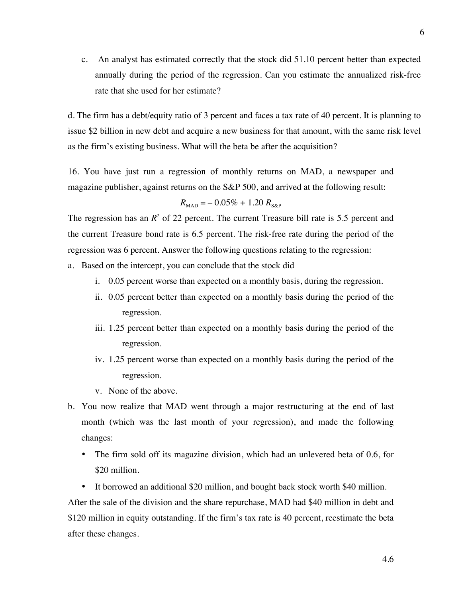c. An analyst has estimated correctly that the stock did 51.10 percent better than expected annually during the period of the regression. Can you estimate the annualized risk-free rate that she used for her estimate?

d. The firm has a debt/equity ratio of 3 percent and faces a tax rate of 40 percent. It is planning to issue \$2 billion in new debt and acquire a new business for that amount, with the same risk level as the firm's existing business. What will the beta be after the acquisition?

16. You have just run a regression of monthly returns on MAD, a newspaper and magazine publisher, against returns on the S&P 500, and arrived at the following result:

$$
R_{\rm MAD} = -0.05\% + 1.20 R_{\rm S\&P}
$$

The regression has an  $R^2$  of 22 percent. The current Treasure bill rate is 5.5 percent and the current Treasure bond rate is 6.5 percent. The risk-free rate during the period of the regression was 6 percent. Answer the following questions relating to the regression:

- a. Based on the intercept, you can conclude that the stock did
	- i. 0.05 percent worse than expected on a monthly basis, during the regression.
	- ii. 0.05 percent better than expected on a monthly basis during the period of the regression.
	- iii. 1.25 percent better than expected on a monthly basis during the period of the regression.
	- iv. 1.25 percent worse than expected on a monthly basis during the period of the regression.
	- v. None of the above.
- b. You now realize that MAD went through a major restructuring at the end of last month (which was the last month of your regression), and made the following changes:
	- The firm sold off its magazine division, which had an unlevered beta of 0.6, for \$20 million.
	- It borrowed an additional \$20 million, and bought back stock worth \$40 million.

After the sale of the division and the share repurchase, MAD had \$40 million in debt and \$120 million in equity outstanding. If the firm's tax rate is 40 percent, reestimate the beta after these changes.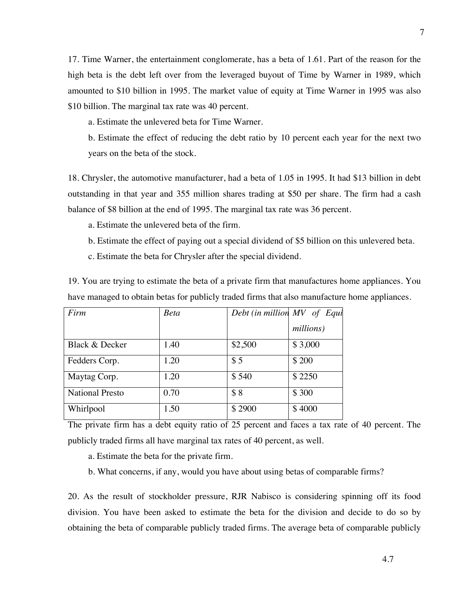17. Time Warner, the entertainment conglomerate, has a beta of 1.61. Part of the reason for the high beta is the debt left over from the leveraged buyout of Time by Warner in 1989, which amounted to \$10 billion in 1995. The market value of equity at Time Warner in 1995 was also \$10 billion. The marginal tax rate was 40 percent.

a. Estimate the unlevered beta for Time Warner.

b. Estimate the effect of reducing the debt ratio by 10 percent each year for the next two years on the beta of the stock.

18. Chrysler, the automotive manufacturer, had a beta of 1.05 in 1995. It had \$13 billion in debt outstanding in that year and 355 million shares trading at \$50 per share. The firm had a cash balance of \$8 billion at the end of 1995. The marginal tax rate was 36 percent.

- a. Estimate the unlevered beta of the firm.
- b. Estimate the effect of paying out a special dividend of \$5 billion on this unlevered beta.
- c. Estimate the beta for Chrysler after the special dividend.

19. You are trying to estimate the beta of a private firm that manufactures home appliances. You have managed to obtain betas for publicly traded firms that also manufacture home appliances.

| Firm                   | <b>Beta</b> |         | Debt (in million MV of Equi |
|------------------------|-------------|---------|-----------------------------|
|                        |             |         | millions)                   |
| Black & Decker         | 1.40        | \$2,500 | \$3,000                     |
| Fedders Corp.          | 1.20        | \$5     | \$200                       |
| Maytag Corp.           | 1.20        | \$540   | \$2250                      |
| <b>National Presto</b> | 0.70        | \$8     | \$300                       |
| Whirlpool              | 1.50        | \$2900  | \$4000                      |

The private firm has a debt equity ratio of 25 percent and faces a tax rate of 40 percent. The publicly traded firms all have marginal tax rates of 40 percent, as well.

- a. Estimate the beta for the private firm.
- b. What concerns, if any, would you have about using betas of comparable firms?

20. As the result of stockholder pressure, RJR Nabisco is considering spinning off its food division. You have been asked to estimate the beta for the division and decide to do so by obtaining the beta of comparable publicly traded firms. The average beta of comparable publicly